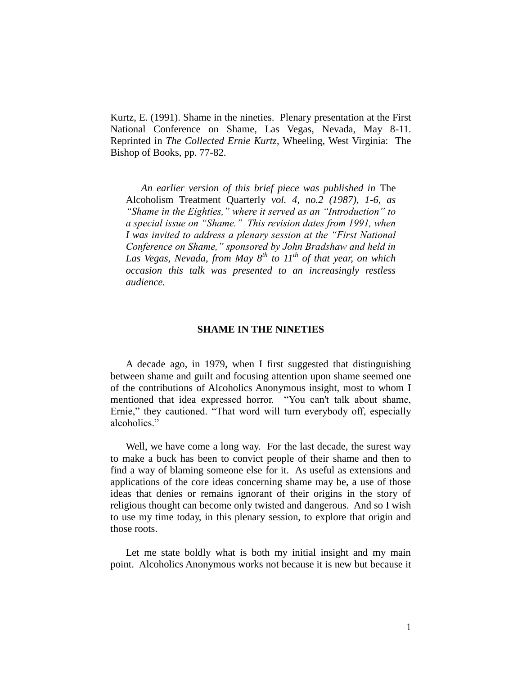Kurtz, E. (1991). Shame in the nineties. Plenary presentation at the First National Conference on Shame, Las Vegas, Nevada, May 8-11. Reprinted in *The Collected Ernie Kurtz*, Wheeling, West Virginia: The Bishop of Books, pp. 77-82.

*An earlier version of this brief piece was published in* The Alcoholism Treatment Quarterly *vol. 4, no.2 (1987), 1-6, as "Shame in the Eighties," where it served as an "Introduction" to a special issue on "Shame." This revision dates from 1991, when I was invited to address a plenary session at the "First National Conference on Shame," sponsored by John Bradshaw and held in Las Vegas, Nevada, from May 8th to 11th of that year, on which occasion this talk was presented to an increasingly restless audience.*

### **SHAME IN THE NINETIES**

A decade ago, in 1979, when I first suggested that distinguishing between shame and guilt and focusing attention upon shame seemed one of the contributions of Alcoholics Anonymous insight, most to whom I mentioned that idea expressed horror. "You can't talk about shame, Ernie," they cautioned. "That word will turn everybody off, especially alcoholics."

Well, we have come a long way. For the last decade, the surest way to make a buck has been to convict people of their shame and then to find a way of blaming someone else for it. As useful as extensions and applications of the core ideas concerning shame may be, a use of those ideas that denies or remains ignorant of their origins in the story of religious thought can become only twisted and dangerous. And so I wish to use my time today, in this plenary session, to explore that origin and those roots.

Let me state boldly what is both my initial insight and my main point. Alcoholics Anonymous works not because it is new but because it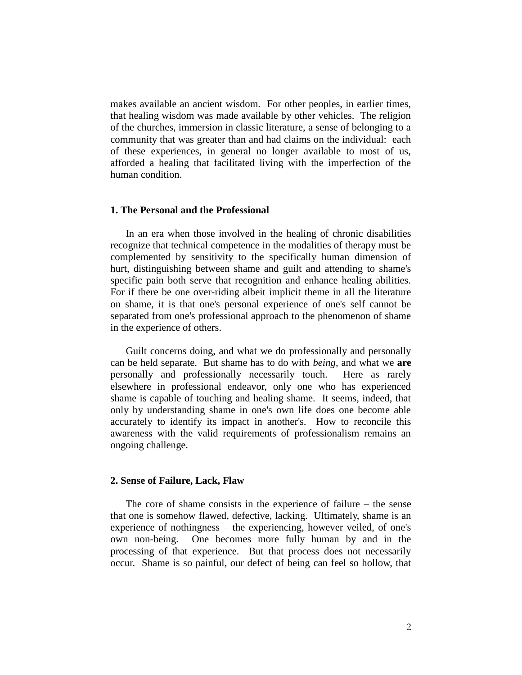makes available an ancient wisdom. For other peoples, in earlier times, that healing wisdom was made available by other vehicles. The religion of the churches, immersion in classic literature, a sense of belonging to a community that was greater than and had claims on the individual: each of these experiences, in general no longer available to most of us, afforded a healing that facilitated living with the imperfection of the human condition.

## **1. The Personal and the Professional**

In an era when those involved in the healing of chronic disabilities recognize that technical competence in the modalities of therapy must be complemented by sensitivity to the specifically human dimension of hurt, distinguishing between shame and guilt and attending to shame's specific pain both serve that recognition and enhance healing abilities. For if there be one over-riding albeit implicit theme in all the literature on shame, it is that one's personal experience of one's self cannot be separated from one's professional approach to the phenomenon of shame in the experience of others.

Guilt concerns doing, and what we do professionally and personally can be held separate. But shame has to do with *being*, and what we **are** personally and professionally necessarily touch. Here as rarely elsewhere in professional endeavor, only one who has experienced shame is capable of touching and healing shame. It seems, indeed, that only by understanding shame in one's own life does one become able accurately to identify its impact in another's. How to reconcile this awareness with the valid requirements of professionalism remains an ongoing challenge.

#### **2. Sense of Failure, Lack, Flaw**

The core of shame consists in the experience of failure – the sense that one is somehow flawed, defective, lacking. Ultimately, shame is an experience of nothingness – the experiencing, however veiled, of one's own non-being. One becomes more fully human by and in the processing of that experience. But that process does not necessarily occur. Shame is so painful, our defect of being can feel so hollow, that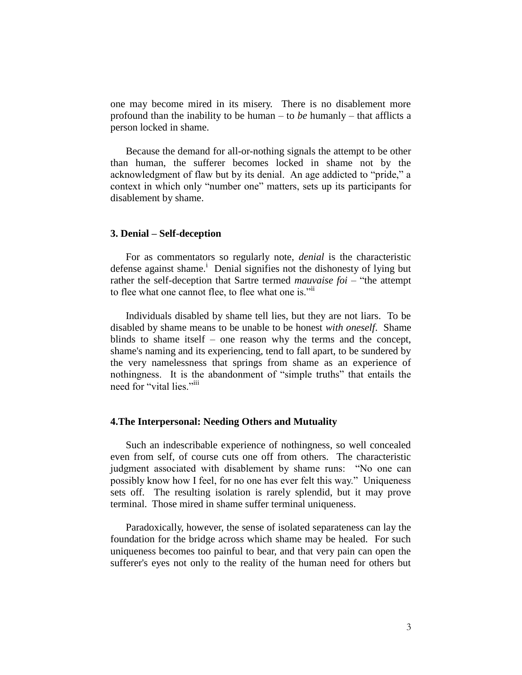one may become mired in its misery. There is no disablement more profound than the inability to be human – to *be* humanly – that afflicts a person locked in shame.

Because the demand for all-or-nothing signals the attempt to be other than human, the sufferer becomes locked in shame not by the acknowledgment of flaw but by its denial. An age addicted to "pride," a context in which only "number one" matters, sets up its participants for disablement by shame.

#### **3. Denial – Self-deception**

For as commentators so regularly note, *denial* is the characteristic defense against shame.<sup>i</sup> Denial signifies not the dishonesty of lying but rather the self-deception that Sartre termed *mauvaise foi* – "the attempt to flee what one cannot flee, to flee what one is."<sup>ii</sup>

Individuals disabled by shame tell lies, but they are not liars. To be disabled by shame means to be unable to be honest *with oneself*. Shame blinds to shame itself – one reason why the terms and the concept, shame's naming and its experiencing, tend to fall apart, to be sundered by the very namelessness that springs from shame as an experience of nothingness. It is the abandonment of "simple truths" that entails the need for "vital lies."<sup>iii</sup>

## **4.The Interpersonal: Needing Others and Mutuality**

Such an indescribable experience of nothingness, so well concealed even from self, of course cuts one off from others. The characteristic judgment associated with disablement by shame runs: "No one can possibly know how I feel, for no one has ever felt this way." Uniqueness sets off. The resulting isolation is rarely splendid, but it may prove terminal. Those mired in shame suffer terminal uniqueness.

Paradoxically, however, the sense of isolated separateness can lay the foundation for the bridge across which shame may be healed. For such uniqueness becomes too painful to bear, and that very pain can open the sufferer's eyes not only to the reality of the human need for others but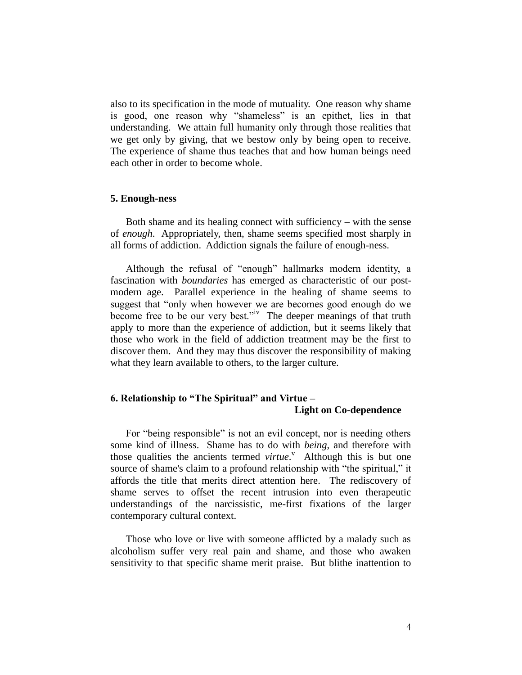also to its specification in the mode of mutuality. One reason why shame is good, one reason why "shameless" is an epithet, lies in that understanding. We attain full humanity only through those realities that we get only by giving, that we bestow only by being open to receive. The experience of shame thus teaches that and how human beings need each other in order to become whole.

## **5. Enough-ness**

Both shame and its healing connect with sufficiency – with the sense of *enough*. Appropriately, then, shame seems specified most sharply in all forms of addiction. Addiction signals the failure of enough-ness.

Although the refusal of "enough" hallmarks modern identity, a fascination with *boundaries* has emerged as characteristic of our postmodern age. Parallel experience in the healing of shame seems to suggest that "only when however we are becomes good enough do we become free to be our very best."<sup>iv</sup> The deeper meanings of that truth apply to more than the experience of addiction, but it seems likely that those who work in the field of addiction treatment may be the first to discover them. And they may thus discover the responsibility of making what they learn available to others, to the larger culture.

# **6. Relationship to "The Spiritual" and Virtue – Light on Co-dependence**

For "being responsible" is not an evil concept, nor is needing others some kind of illness. Shame has to do with *being*, and therefore with those qualities the ancients termed *virtue*.<sup>V</sup> Although this is but one source of shame's claim to a profound relationship with "the spiritual," it affords the title that merits direct attention here. The rediscovery of shame serves to offset the recent intrusion into even therapeutic understandings of the narcissistic, me-first fixations of the larger contemporary cultural context.

Those who love or live with someone afflicted by a malady such as alcoholism suffer very real pain and shame, and those who awaken sensitivity to that specific shame merit praise. But blithe inattention to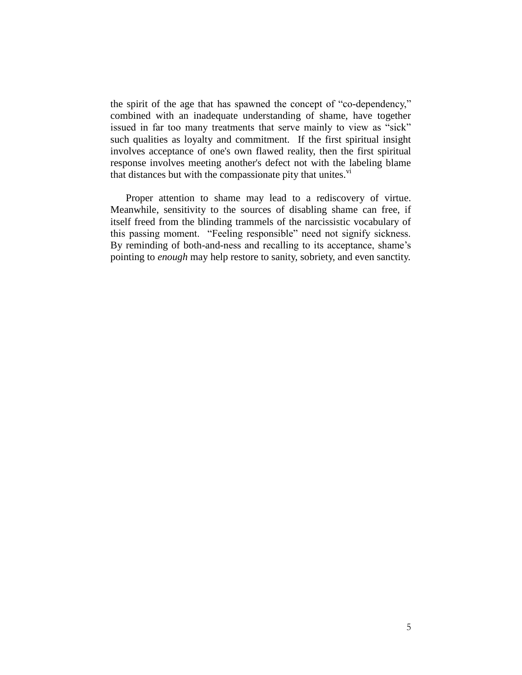the spirit of the age that has spawned the concept of "co-dependency," combined with an inadequate understanding of shame, have together issued in far too many treatments that serve mainly to view as "sick" such qualities as loyalty and commitment. If the first spiritual insight involves acceptance of one's own flawed reality, then the first spiritual response involves meeting another's defect not with the labeling blame that distances but with the compassionate pity that unites. $v_i$ 

Proper attention to shame may lead to a rediscovery of virtue. Meanwhile, sensitivity to the sources of disabling shame can free, if itself freed from the blinding trammels of the narcissistic vocabulary of this passing moment. "Feeling responsible" need not signify sickness. By reminding of both-and-ness and recalling to its acceptance, shame's pointing to *enough* may help restore to sanity, sobriety, and even sanctity.